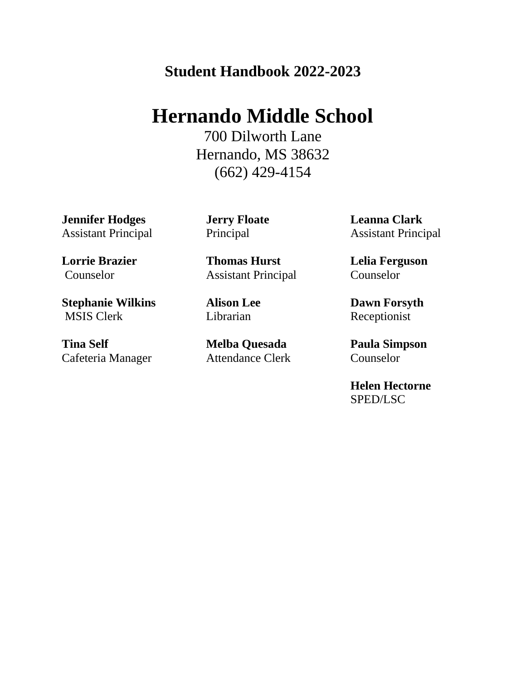# **Student Handbook 2022-2023**

# **Hernando Middle School**

700 Dilworth Lane Hernando, MS 38632 (662) 429-4154

**Jennifer Hodges**  Assistant Principal

**Lorrie Brazier**  Counselor

**Stephanie Wilkins**  MSIS Clerk

**Tina Self**  Cafeteria Manager **Jerry Floate**  Principal

**Thomas Hurst** Assistant Principal

**Alison Lee** Librarian

**Melba Quesada**  Attendance Clerk **Leanna Clark**  Assistant Principal

**Lelia Ferguson**  Counselor

**Dawn Forsyth**  Receptionist

**Paula Simpson**  Counselor

**Helen Hectorne**  SPED/LSC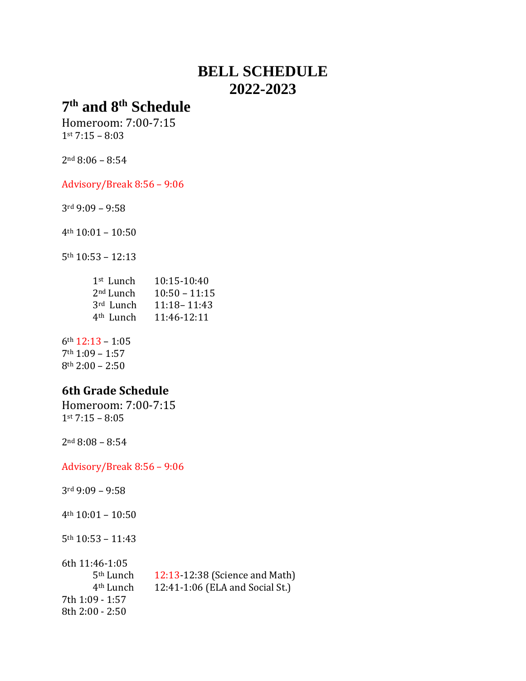# **BELL SCHEDULE 2022-2023**

# **th and 8th Schedule**

Homeroom: 7:00-7:15 st 7:15 – 8:03

nd 8:06 – 8:54

Advisory/Break 8:56 – 9:06

rd 9:09 – 9:58

th 10:01 – 10:50

th 10:53 – 12:13

| 1 <sup>st</sup> Lunch | 10:15-10:40     |
|-----------------------|-----------------|
| 2 <sup>nd</sup> Lunch | $10:50 - 11:15$ |
| 3rd Lunch             | 11:18 - 11:43   |
| 4 <sup>th</sup> Lunch | 11:46-12:11     |

th 12:13 – 1:05 th 1:09 – 1:57 th 2:00 – 2:50

## **6th Grade Schedule**

Homeroom: 7:00-7:15 st 7:15 – 8:05

nd 8:08 – 8:54

Advisory/Break 8:56 – 9:06

rd 9:09 – 9:58

th 10:01 – 10:50

th 10:53 – 11:43

| 6th 11:46-1:05        |                                 |
|-----------------------|---------------------------------|
| 5 <sup>th</sup> Lunch | 12:13-12:38 (Science and Math)  |
| 4 <sup>th</sup> Lunch | 12:41-1:06 (ELA and Social St.) |
| 7th 1:09 - 1:57       |                                 |
| 8th 2:00 - 2:50       |                                 |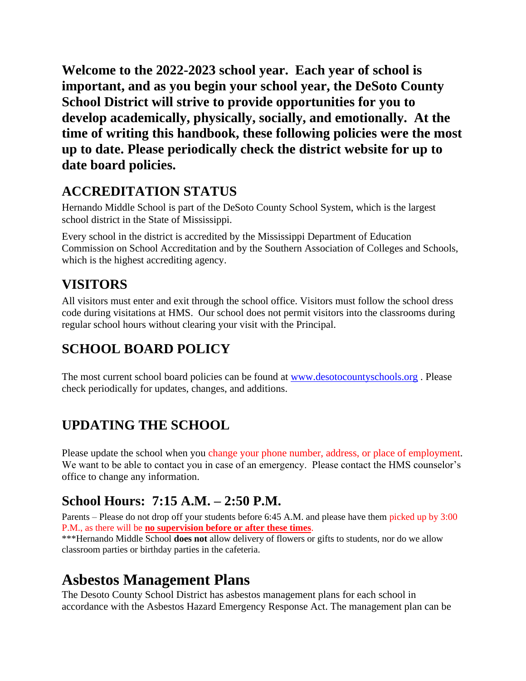**Welcome to the 2022-2023 school year. Each year of school is important, and as you begin your school year, the DeSoto County School District will strive to provide opportunities for you to develop academically, physically, socially, and emotionally. At the time of writing this handbook, these following policies were the most up to date. Please periodically check the district website for up to date board policies.**

# **ACCREDITATION STATUS**

Hernando Middle School is part of the DeSoto County School System, which is the largest school district in the State of Mississippi.

Every school in the district is accredited by the Mississippi Department of Education Commission on School Accreditation and by the Southern Association of Colleges and Schools, which is the highest accrediting agency.

# **VISITORS**

All visitors must enter and exit through the school office. Visitors must follow the school dress code during visitations at HMS. Our school does not permit visitors into the classrooms during regular school hours without clearing your visit with the Principal.

# **SCHOOL BOARD POLICY**

The most current school board policies can be found at [www.desotocountyschools.org](http://www.desotocountyschools.org/) . Please check periodically for updates, changes, and additions.

# **UPDATING THE SCHOOL**

Please update the school when you change your phone number, address, or place of employment. We want to be able to contact you in case of an emergency. Please contact the HMS counselor's office to change any information.

# **School Hours: 7:15 A.M. – 2:50 P.M.**

Parents – Please do not drop off your students before 6:45 A.M. and please have them picked up by 3:00 P.M., as there will be **no supervision before or after these times**.

\*\*\*Hernando Middle School **does not** allow delivery of flowers or gifts to students, nor do we allow classroom parties or birthday parties in the cafeteria.

# **Asbestos Management Plans**

The Desoto County School District has asbestos management plans for each school in accordance with the Asbestos Hazard Emergency Response Act. The management plan can be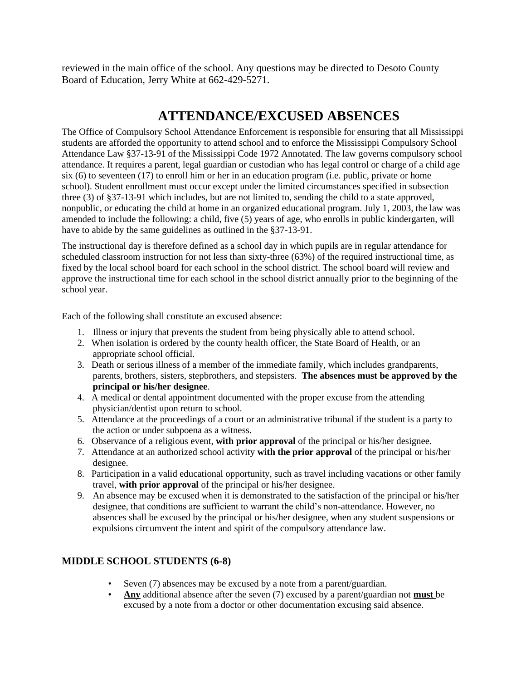reviewed in the main office of the school. Any questions may be directed to Desoto County Board of Education, Jerry White at 662-429-5271.

## **ATTENDANCE/EXCUSED ABSENCES**

The Office of Compulsory School Attendance Enforcement is responsible for ensuring that all Mississippi students are afforded the opportunity to attend school and to enforce the Mississippi Compulsory School Attendance Law §37-13-91 of the Mississippi Code 1972 Annotated. The law governs compulsory school attendance. It requires a parent, legal guardian or custodian who has legal control or charge of a child age six (6) to seventeen (17) to enroll him or her in an education program (i.e. public, private or home school). Student enrollment must occur except under the limited circumstances specified in subsection three (3) of §37-13-91 which includes, but are not limited to, sending the child to a state approved, nonpublic, or educating the child at home in an organized educational program. July 1, 2003, the law was amended to include the following: a child, five (5) years of age, who enrolls in public kindergarten, will have to abide by the same guidelines as outlined in the §37-13-91.

The instructional day is therefore defined as a school day in which pupils are in regular attendance for scheduled classroom instruction for not less than sixty-three (63%) of the required instructional time, as fixed by the local school board for each school in the school district. The school board will review and approve the instructional time for each school in the school district annually prior to the beginning of the school year.

Each of the following shall constitute an excused absence:

- 1. Illness or injury that prevents the student from being physically able to attend school.
- 2. When isolation is ordered by the county health officer, the State Board of Health, or an appropriate school official.
- 3. Death or serious illness of a member of the immediate family, which includes grandparents, parents, brothers, sisters, stepbrothers, and stepsisters. **The absences must be approved by the principal or his/her designee**.
- 4. A medical or dental appointment documented with the proper excuse from the attending physician/dentist upon return to school.
- 5. Attendance at the proceedings of a court or an administrative tribunal if the student is a party to the action or under subpoena as a witness.
- 6. Observance of a religious event, **with prior approval** of the principal or his/her designee.
- 7. Attendance at an authorized school activity **with the prior approval** of the principal or his/her designee.
- 8. Participation in a valid educational opportunity, such as travel including vacations or other family travel, **with prior approval** of the principal or his/her designee.
- 9. An absence may be excused when it is demonstrated to the satisfaction of the principal or his/her designee, that conditions are sufficient to warrant the child's non-attendance. However, no absences shall be excused by the principal or his/her designee, when any student suspensions or expulsions circumvent the intent and spirit of the compulsory attendance law.

### **MIDDLE SCHOOL STUDENTS (6-8)**

- Seven (7) absences may be excused by a note from a parent/guardian.
- **Any** additional absence after the seven (7) excused by a parent/guardian not **must** be excused by a note from a doctor or other documentation excusing said absence.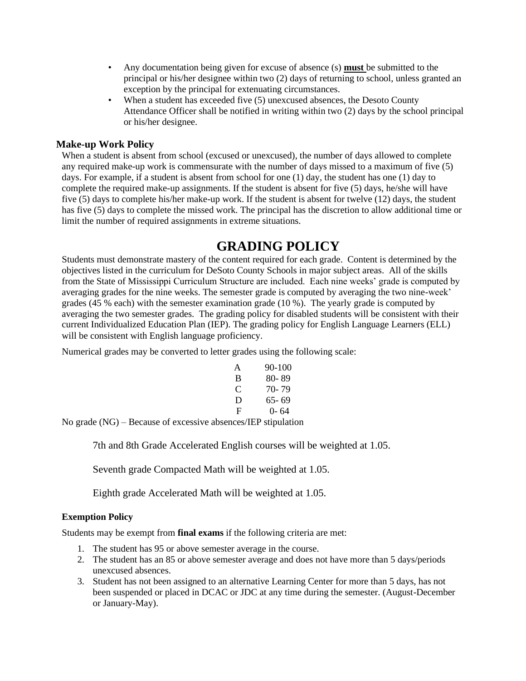- Any documentation being given for excuse of absence (s) **must** be submitted to the principal or his/her designee within two (2) days of returning to school, unless granted an exception by the principal for extenuating circumstances.
- When a student has exceeded five (5) unexcused absences, the Desoto County Attendance Officer shall be notified in writing within two (2) days by the school principal or his/her designee.

#### **Make-up Work Policy**

When a student is absent from school (excused or unexcused), the number of days allowed to complete any required make-up work is commensurate with the number of days missed to a maximum of five (5) days. For example, if a student is absent from school for one (1) day, the student has one (1) day to complete the required make-up assignments. If the student is absent for five (5) days, he/she will have five (5) days to complete his/her make-up work. If the student is absent for twelve (12) days, the student has five (5) days to complete the missed work. The principal has the discretion to allow additional time or limit the number of required assignments in extreme situations.

## **GRADING POLICY**

Students must demonstrate mastery of the content required for each grade. Content is determined by the objectives listed in the curriculum for DeSoto County Schools in major subject areas. All of the skills from the State of Mississippi Curriculum Structure are included. Each nine weeks' grade is computed by averaging grades for the nine weeks. The semester grade is computed by averaging the two nine-week' grades (45 % each) with the semester examination grade (10 %). The yearly grade is computed by averaging the two semester grades. The grading policy for disabled students will be consistent with their current Individualized Education Plan (IEP). The grading policy for English Language Learners (ELL) will be consistent with English language proficiency.

Numerical grades may be converted to letter grades using the following scale:

| A | 90-100 |
|---|--------|
| B | 80-89  |
| C | 70- 79 |
| D | 65- 69 |
| F | ()- 64 |

No grade (NG) – Because of excessive absences/IEP stipulation

7th and 8th Grade Accelerated English courses will be weighted at 1.05.

Seventh grade Compacted Math will be weighted at 1.05.

Eighth grade Accelerated Math will be weighted at 1.05.

#### **Exemption Policy**

Students may be exempt from **final exams** if the following criteria are met:

- 1. The student has 95 or above semester average in the course.
- 2. The student has an 85 or above semester average and does not have more than 5 days/periods unexcused absences.
- 3. Student has not been assigned to an alternative Learning Center for more than 5 days, has not been suspended or placed in DCAC or JDC at any time during the semester. (August-December or January-May).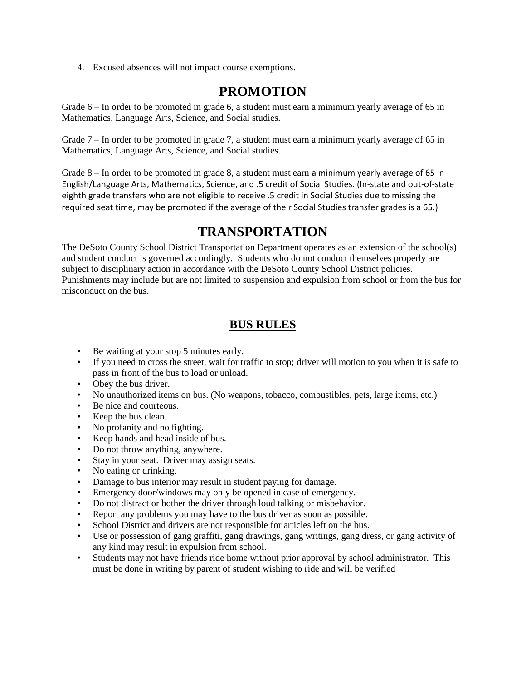4. Excused absences will not impact course exemptions.

## **PROMOTION**

Grade 6 – In order to be promoted in grade 6, a student must earn a minimum yearly average of 65 in Mathematics, Language Arts, Science, and Social studies.

Grade 7 – In order to be promoted in grade 7, a student must earn a minimum yearly average of 65 in Mathematics, Language Arts, Science, and Social studies.

Grade 8 – In order to be promoted in grade 8, a student must earn a minimum yearly average of 65 in English/Language Arts, Mathematics, Science, and .5 credit of Social Studies. (In-state and out-of-state eighth grade transfers who are not eligible to receive .5 credit in Social Studies due to missing the required seat time, may be promoted if the average of their Social Studies transfer grades is a 65.)

## **TRANSPORTATION**

The DeSoto County School District Transportation Department operates as an extension of the school(s) and student conduct is governed accordingly. Students who do not conduct themselves properly are subject to disciplinary action in accordance with the DeSoto County School District policies. Punishments may include but are not limited to suspension and expulsion from school or from the bus for misconduct on the bus.

## **BUS RULES**

- Be waiting at your stop 5 minutes early.
- If you need to cross the street, wait for traffic to stop; driver will motion to you when it is safe to pass in front of the bus to load or unload.
- Obey the bus driver.
- No unauthorized items on bus. (No weapons, tobacco, combustibles, pets, large items, etc.)
- Be nice and courteous.
- Keep the bus clean.
- No profanity and no fighting.
- Keep hands and head inside of bus.
- Do not throw anything, anywhere.
- Stay in your seat. Driver may assign seats.
- No eating or drinking.
- Damage to bus interior may result in student paying for damage.
- Emergency door/windows may only be opened in case of emergency.
- Do not distract or bother the driver through loud talking or misbehavior.
- Report any problems you may have to the bus driver as soon as possible.
- School District and drivers are not responsible for articles left on the bus.
- Use or possession of gang graffiti, gang drawings, gang writings, gang dress, or gang activity of any kind may result in expulsion from school.
- Students may not have friends ride home without prior approval by school administrator. This must be done in writing by parent of student wishing to ride and will be verified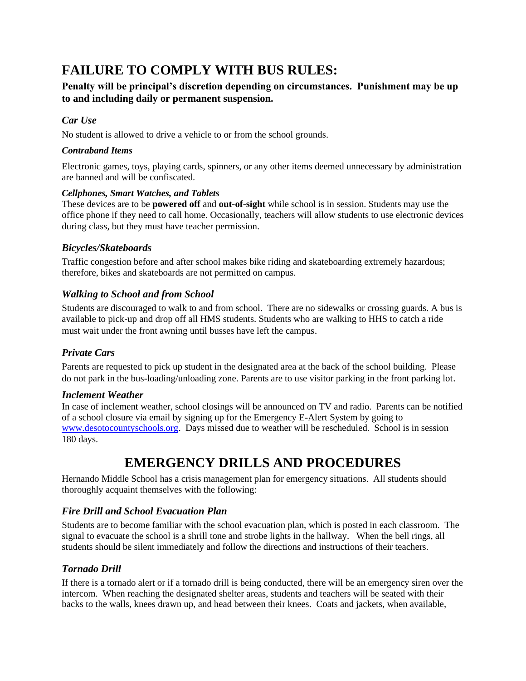# **FAILURE TO COMPLY WITH BUS RULES:**

### **Penalty will be principal's discretion depending on circumstances. Punishment may be up to and including daily or permanent suspension.**

### *Car Use*

No student is allowed to drive a vehicle to or from the school grounds.

### *Contraband Items*

Electronic games, toys, playing cards, spinners, or any other items deemed unnecessary by administration are banned and will be confiscated.

#### *Cellphones, Smart Watches, and Tablets*

These devices are to be **powered off** and **out-of-sight** while school is in session. Students may use the office phone if they need to call home. Occasionally, teachers will allow students to use electronic devices during class, but they must have teacher permission.

### *Bicycles/Skateboards*

Traffic congestion before and after school makes bike riding and skateboarding extremely hazardous; therefore, bikes and skateboards are not permitted on campus.

### *Walking to School and from School*

Students are discouraged to walk to and from school. There are no sidewalks or crossing guards. A bus is available to pick-up and drop off all HMS students. Students who are walking to HHS to catch a ride must wait under the front awning until busses have left the campus.

### *Private Cars*

Parents are requested to pick up student in the designated area at the back of the school building. Please do not park in the bus-loading/unloading zone. Parents are to use visitor parking in the front parking lot.

### *Inclement Weather*

In case of inclement weather, school closings will be announced on TV and radio. Parents can be notified of a school closure via email by signing up for the Emergency E-Alert System by going to [www.desotocountyschools.org.](http://www.desotocountyschools.org/) Days missed due to weather will be rescheduled. School is in session 180 days.

# **EMERGENCY DRILLS AND PROCEDURES**

Hernando Middle School has a crisis management plan for emergency situations. All students should thoroughly acquaint themselves with the following:

### *Fire Drill and School Evacuation Plan*

Students are to become familiar with the school evacuation plan, which is posted in each classroom. The signal to evacuate the school is a shrill tone and strobe lights in the hallway. When the bell rings, all students should be silent immediately and follow the directions and instructions of their teachers.

### *Tornado Drill*

If there is a tornado alert or if a tornado drill is being conducted, there will be an emergency siren over the intercom. When reaching the designated shelter areas, students and teachers will be seated with their backs to the walls, knees drawn up, and head between their knees. Coats and jackets, when available,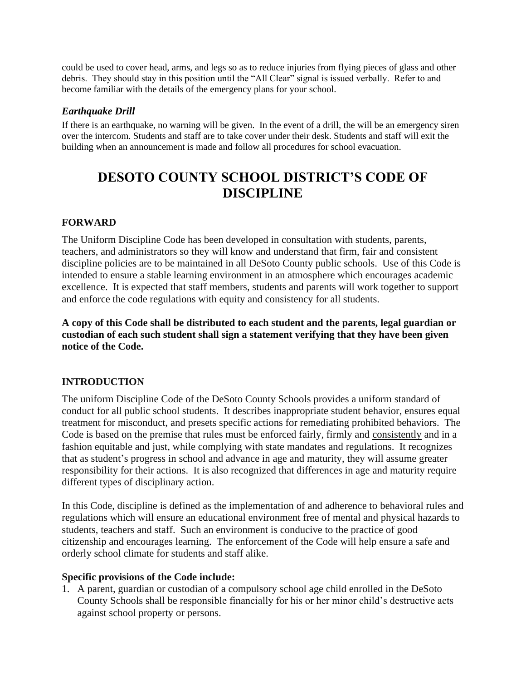could be used to cover head, arms, and legs so as to reduce injuries from flying pieces of glass and other debris. They should stay in this position until the "All Clear" signal is issued verbally. Refer to and become familiar with the details of the emergency plans for your school.

### *Earthquake Drill*

If there is an earthquake, no warning will be given. In the event of a drill, the will be an emergency siren over the intercom. Students and staff are to take cover under their desk. Students and staff will exit the building when an announcement is made and follow all procedures for school evacuation.

# **DESOTO COUNTY SCHOOL DISTRICT'S CODE OF DISCIPLINE**

### **FORWARD**

The Uniform Discipline Code has been developed in consultation with students, parents, teachers, and administrators so they will know and understand that firm, fair and consistent discipline policies are to be maintained in all DeSoto County public schools. Use of this Code is intended to ensure a stable learning environment in an atmosphere which encourages academic excellence. It is expected that staff members, students and parents will work together to support and enforce the code regulations with equity and consistency for all students.

**A copy of this Code shall be distributed to each student and the parents, legal guardian or custodian of each such student shall sign a statement verifying that they have been given notice of the Code.** 

### **INTRODUCTION**

The uniform Discipline Code of the DeSoto County Schools provides a uniform standard of conduct for all public school students. It describes inappropriate student behavior, ensures equal treatment for misconduct, and presets specific actions for remediating prohibited behaviors. The Code is based on the premise that rules must be enforced fairly, firmly and consistently and in a fashion equitable and just, while complying with state mandates and regulations. It recognizes that as student's progress in school and advance in age and maturity, they will assume greater responsibility for their actions. It is also recognized that differences in age and maturity require different types of disciplinary action.

In this Code, discipline is defined as the implementation of and adherence to behavioral rules and regulations which will ensure an educational environment free of mental and physical hazards to students, teachers and staff. Such an environment is conducive to the practice of good citizenship and encourages learning. The enforcement of the Code will help ensure a safe and orderly school climate for students and staff alike.

### **Specific provisions of the Code include:**

1. A parent, guardian or custodian of a compulsory school age child enrolled in the DeSoto County Schools shall be responsible financially for his or her minor child's destructive acts against school property or persons.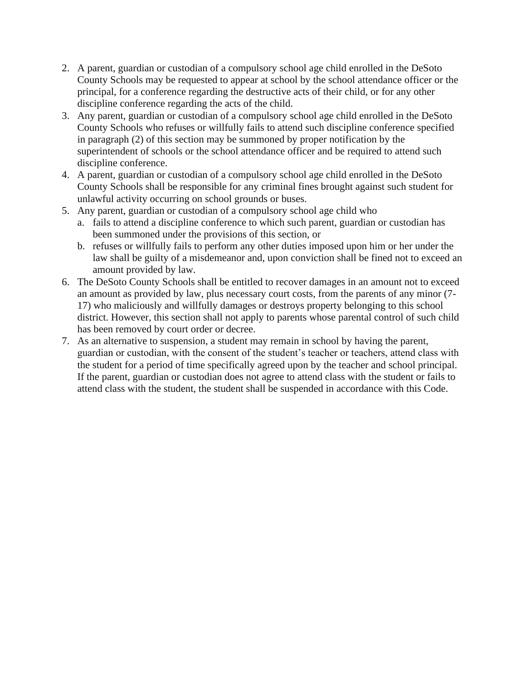- 2. A parent, guardian or custodian of a compulsory school age child enrolled in the DeSoto County Schools may be requested to appear at school by the school attendance officer or the principal, for a conference regarding the destructive acts of their child, or for any other discipline conference regarding the acts of the child.
- 3. Any parent, guardian or custodian of a compulsory school age child enrolled in the DeSoto County Schools who refuses or willfully fails to attend such discipline conference specified in paragraph (2) of this section may be summoned by proper notification by the superintendent of schools or the school attendance officer and be required to attend such discipline conference.
- 4. A parent, guardian or custodian of a compulsory school age child enrolled in the DeSoto County Schools shall be responsible for any criminal fines brought against such student for unlawful activity occurring on school grounds or buses.
- 5. Any parent, guardian or custodian of a compulsory school age child who a. fails to attend a discipline conference to which such parent, guardian or custodian has been summoned under the provisions of this section, or
	- b. refuses or willfully fails to perform any other duties imposed upon him or her under the law shall be guilty of a misdemeanor and, upon conviction shall be fined not to exceed an amount provided by law.
- 6. The DeSoto County Schools shall be entitled to recover damages in an amount not to exceed an amount as provided by law, plus necessary court costs, from the parents of any minor (7- 17) who maliciously and willfully damages or destroys property belonging to this school district. However, this section shall not apply to parents whose parental control of such child has been removed by court order or decree.
- 7. As an alternative to suspension, a student may remain in school by having the parent, guardian or custodian, with the consent of the student's teacher or teachers, attend class with the student for a period of time specifically agreed upon by the teacher and school principal. If the parent, guardian or custodian does not agree to attend class with the student or fails to attend class with the student, the student shall be suspended in accordance with this Code.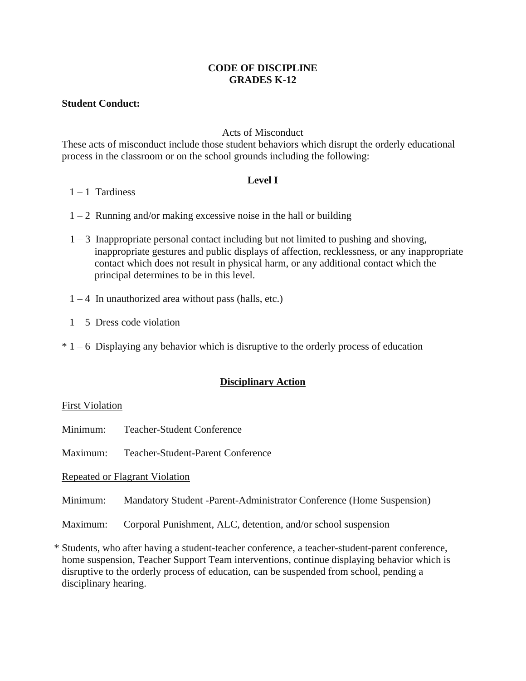#### **CODE OF DISCIPLINE GRADES K-12**

#### **Student Conduct:**

#### Acts of Misconduct

These acts of misconduct include those student behaviors which disrupt the orderly educational process in the classroom or on the school grounds including the following:

#### **Level I**

- $1 1$  Tardiness
- $1 2$  Running and/or making excessive noise in the hall or building
- 1 3 Inappropriate personal contact including but not limited to pushing and shoving, inappropriate gestures and public displays of affection, recklessness, or any inappropriate contact which does not result in physical harm, or any additional contact which the principal determines to be in this level.
- $1 4$  In unauthorized area without pass (halls, etc.)
- $1 5$  Dress code violation
- $* 1 6$  Displaying any behavior which is disruptive to the orderly process of education

### **Disciplinary Action**

#### First Violation

- Minimum: Teacher-Student Conference
- Maximum: Teacher-Student-Parent Conference

Repeated or Flagrant Violation

- Minimum: Mandatory Student -Parent-Administrator Conference (Home Suspension)
- Maximum: Corporal Punishment, ALC, detention, and/or school suspension

\* Students, who after having a student-teacher conference, a teacher-student-parent conference, home suspension, Teacher Support Team interventions, continue displaying behavior which is disruptive to the orderly process of education, can be suspended from school, pending a disciplinary hearing.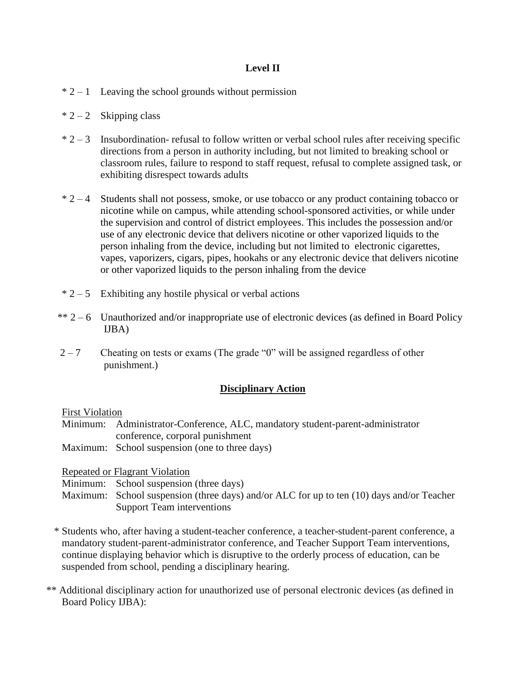### **Level II**

- $* 2 1$  Leaving the school grounds without permission
- $* 2 2$  Skipping class
- $* 2 3$  Insubordination- refusal to follow written or verbal school rules after receiving specific directions from a person in authority including, but not limited to breaking school or classroom rules, failure to respond to staff request, refusal to complete assigned task, or exhibiting disrespect towards adults
- $* 2 4$  Students shall not possess, smoke, or use tobacco or any product containing tobacco or nicotine while on campus, while attending school-sponsored activities, or while under the supervision and control of district employees. This includes the possession and/or use of any electronic device that delivers nicotine or other vaporized liquids to the person inhaling from the device, including but not limited to electronic cigarettes, vapes, vaporizers, cigars, pipes, hookahs or any electronic device that delivers nicotine or other vaporized liquids to the person inhaling from the device
- $* 2 5$  Exhibiting any hostile physical or verbal actions
- $** 2 6$  Unauthorized and/or inappropriate use of electronic devices (as defined in Board Policy IJBA)
- $2 7$  Cheating on tests or exams (The grade "0" will be assigned regardless of other punishment.)

#### **Disciplinary Action**

First Violation

- Minimum: Administrator-Conference, ALC, mandatory student-parent-administrator conference, corporal punishment
- Maximum: School suspension (one to three days)

Repeated or Flagrant Violation

Minimum: School suspension (three days)

- Maximum: School suspension (three days) and/or ALC for up to ten (10) days and/or Teacher Support Team interventions
- \* Students who, after having a student-teacher conference, a teacher-student-parent conference, a mandatory student-parent-administrator conference, and Teacher Support Team interventions, continue displaying behavior which is disruptive to the orderly process of education, can be suspended from school, pending a disciplinary hearing.
- \*\* Additional disciplinary action for unauthorized use of personal electronic devices (as defined in Board Policy IJBA):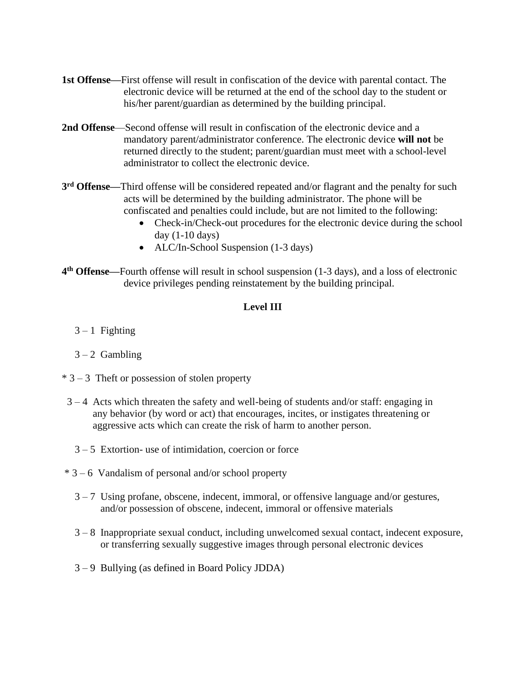- **1st Offense—**First offense will result in confiscation of the device with parental contact. The electronic device will be returned at the end of the school day to the student or his/her parent/guardian as determined by the building principal.
- **2nd Offense**—Second offense will result in confiscation of the electronic device and a mandatory parent/administrator conference. The electronic device **will not** be returned directly to the student; parent/guardian must meet with a school-level administrator to collect the electronic device.
- **3 rd Offense—**Third offense will be considered repeated and/or flagrant and the penalty for such acts will be determined by the building administrator. The phone will be confiscated and penalties could include, but are not limited to the following:
	- Check-in/Check-out procedures for the electronic device during the school day  $(1-10 \text{ days})$
	- ALC/In-School Suspension (1-3 days)
- **4 th Offense—**Fourth offense will result in school suspension (1-3 days), and a loss of electronic device privileges pending reinstatement by the building principal.

#### **Level III**

- $3 1$  Fighting
- $3 2$  Gambling
- $* 3 3$  Theft or possession of stolen property
- 3 4 Acts which threaten the safety and well-being of students and/or staff: engaging in any behavior (by word or act) that encourages, incites, or instigates threatening or aggressive acts which can create the risk of harm to another person.
	- 3 5 Extortion- use of intimidation, coercion or force
- $*$  3 6 Vandalism of personal and/or school property
	- $3 7$  Using profane, obscene, indecent, immoral, or offensive language and/or gestures, and/or possession of obscene, indecent, immoral or offensive materials
	- 3 8 Inappropriate sexual conduct, including unwelcomed sexual contact, indecent exposure, or transferring sexually suggestive images through personal electronic devices
	- 3 9 Bullying (as defined in Board Policy JDDA)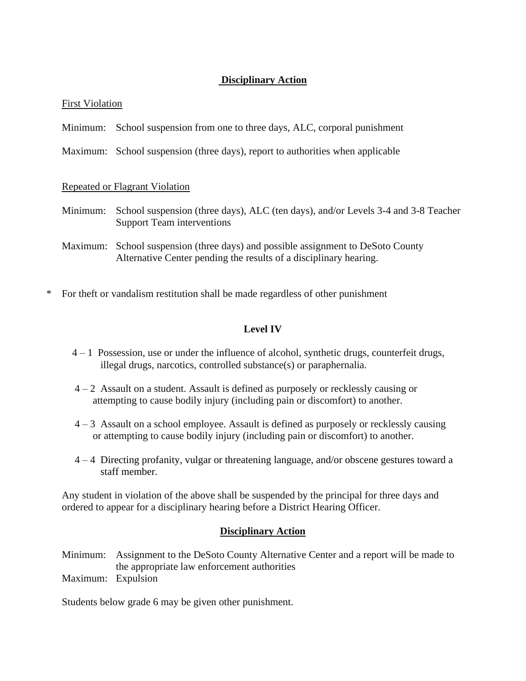### **Disciplinary Action**

#### First Violation

- Minimum: School suspension from one to three days, ALC, corporal punishment
- Maximum: School suspension (three days), report to authorities when applicable

#### Repeated or Flagrant Violation

- Minimum: School suspension (three days), ALC (ten days), and/or Levels 3-4 and 3-8 Teacher Support Team interventions
- Maximum: School suspension (three days) and possible assignment to DeSoto County Alternative Center pending the results of a disciplinary hearing.
- \* For theft or vandalism restitution shall be made regardless of other punishment

### **Level IV**

- 4 1 Possession, use or under the influence of alcohol, synthetic drugs, counterfeit drugs, illegal drugs, narcotics, controlled substance(s) or paraphernalia.
- $4 2$  Assault on a student. Assault is defined as purposely or recklessly causing or attempting to cause bodily injury (including pain or discomfort) to another.
- 4 3 Assault on a school employee. Assault is defined as purposely or recklessly causing or attempting to cause bodily injury (including pain or discomfort) to another.
- 4 4 Directing profanity, vulgar or threatening language, and/or obscene gestures toward a staff member.

Any student in violation of the above shall be suspended by the principal for three days and ordered to appear for a disciplinary hearing before a District Hearing Officer.

#### **Disciplinary Action**

Minimum: Assignment to the DeSoto County Alternative Center and a report will be made to the appropriate law enforcement authorities Maximum: Expulsion

Students below grade 6 may be given other punishment.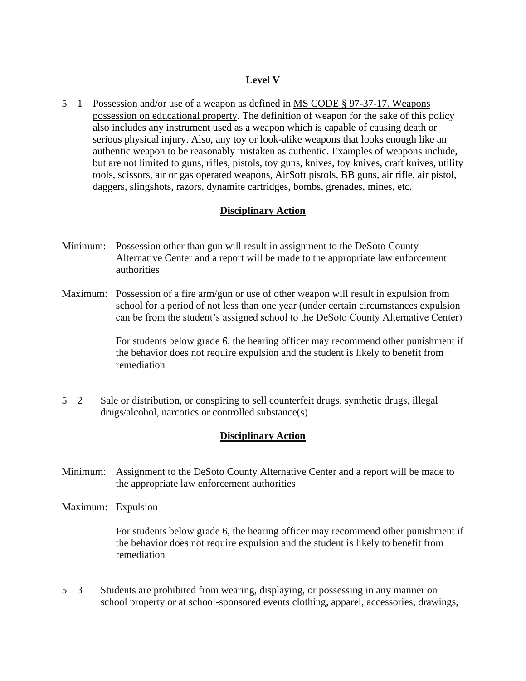#### **Level V**

5 – 1 Possession and/or use of a weapon as defined in [MS CODE § 97-37-17. Weapons](https://codes.findlaw.com/ms/title-97-crimes/ms-code-sect-97-37-17.html)  [possession on educational property.](https://codes.findlaw.com/ms/title-97-crimes/ms-code-sect-97-37-17.html) The definition of weapon for the sake of this policy also includes any instrument used as a weapon which is capable of causing death or serious physical injury. Also, any toy or look-alike weapons that looks enough like an authentic weapon to be reasonably mistaken as authentic. Examples of weapons include, but are not limited to guns, rifles, pistols, toy guns, knives, toy knives, craft knives, utility tools, scissors, air or gas operated weapons, AirSoft pistols, BB guns, air rifle, air pistol, daggers, slingshots, razors, dynamite cartridges, bombs, grenades, mines, etc.

#### **Disciplinary Action**

- Minimum: Possession other than gun will result in assignment to the DeSoto County Alternative Center and a report will be made to the appropriate law enforcement authorities
- Maximum: Possession of a fire arm/gun or use of other weapon will result in expulsion from school for a period of not less than one year (under certain circumstances expulsion can be from the student's assigned school to the DeSoto County Alternative Center)

For students below grade 6, the hearing officer may recommend other punishment if the behavior does not require expulsion and the student is likely to benefit from remediation

 $5 - 2$  Sale or distribution, or conspiring to sell counterfeit drugs, synthetic drugs, illegal drugs/alcohol, narcotics or controlled substance(s)

#### **Disciplinary Action**

- Minimum: Assignment to the DeSoto County Alternative Center and a report will be made to the appropriate law enforcement authorities
- Maximum: Expulsion

For students below grade 6, the hearing officer may recommend other punishment if the behavior does not require expulsion and the student is likely to benefit from remediation

5 – 3 Students are prohibited from wearing, displaying, or possessing in any manner on school property or at school-sponsored events clothing, apparel, accessories, drawings,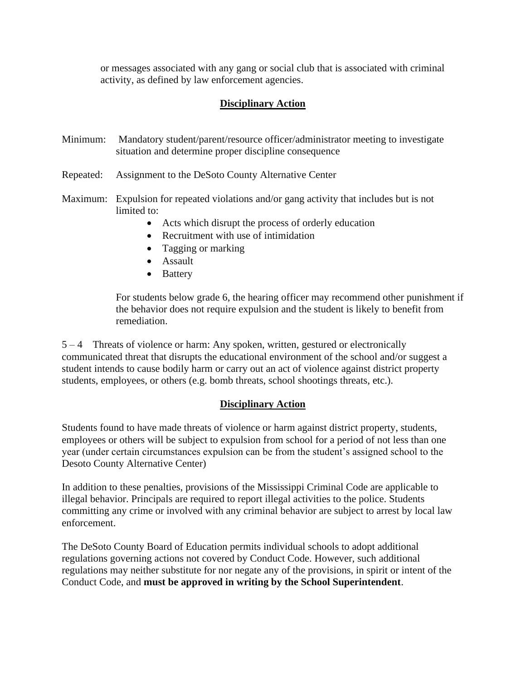or messages associated with any gang or social club that is associated with criminal activity, as defined by law enforcement agencies.

### **Disciplinary Action**

- Minimum: Mandatory student/parent/resource officer/administrator meeting to investigate situation and determine proper discipline consequence
- Repeated: Assignment to the DeSoto County Alternative Center
- Maximum: Expulsion for repeated violations and/or gang activity that includes but is not limited to:
	- Acts which disrupt the process of orderly education
	- Recruitment with use of intimidation
	- Tagging or marking
	- Assault
	- Battery

For students below grade 6, the hearing officer may recommend other punishment if the behavior does not require expulsion and the student is likely to benefit from remediation.

5 – 4 Threats of violence or harm: Any spoken, written, gestured or electronically communicated threat that disrupts the educational environment of the school and/or suggest a student intends to cause bodily harm or carry out an act of violence against district property students, employees, or others (e.g. bomb threats, school shootings threats, etc.).

### **Disciplinary Action**

Students found to have made threats of violence or harm against district property, students, employees or others will be subject to expulsion from school for a period of not less than one year (under certain circumstances expulsion can be from the student's assigned school to the Desoto County Alternative Center)

In addition to these penalties, provisions of the Mississippi Criminal Code are applicable to illegal behavior. Principals are required to report illegal activities to the police. Students committing any crime or involved with any criminal behavior are subject to arrest by local law enforcement.

The DeSoto County Board of Education permits individual schools to adopt additional regulations governing actions not covered by Conduct Code. However, such additional regulations may neither substitute for nor negate any of the provisions, in spirit or intent of the Conduct Code, and **must be approved in writing by the School Superintendent**.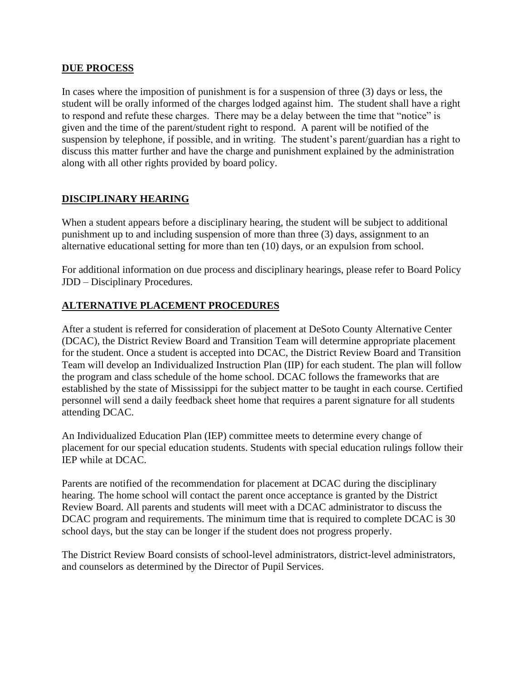#### **DUE PROCESS**

In cases where the imposition of punishment is for a suspension of three (3) days or less, the student will be orally informed of the charges lodged against him. The student shall have a right to respond and refute these charges. There may be a delay between the time that "notice" is given and the time of the parent/student right to respond. A parent will be notified of the suspension by telephone, if possible, and in writing. The student's parent/guardian has a right to discuss this matter further and have the charge and punishment explained by the administration along with all other rights provided by board policy.

### **DISCIPLINARY HEARING**

When a student appears before a disciplinary hearing, the student will be subject to additional punishment up to and including suspension of more than three (3) days, assignment to an alternative educational setting for more than ten (10) days, or an expulsion from school.

For additional information on due process and disciplinary hearings, please refer to Board Policy JDD – Disciplinary Procedures.

### **ALTERNATIVE PLACEMENT PROCEDURES**

After a student is referred for consideration of placement at DeSoto County Alternative Center (DCAC), the District Review Board and Transition Team will determine appropriate placement for the student. Once a student is accepted into DCAC, the District Review Board and Transition Team will develop an Individualized Instruction Plan (IIP) for each student. The plan will follow the program and class schedule of the home school. DCAC follows the frameworks that are established by the state of Mississippi for the subject matter to be taught in each course. Certified personnel will send a daily feedback sheet home that requires a parent signature for all students attending DCAC.

An Individualized Education Plan (IEP) committee meets to determine every change of placement for our special education students. Students with special education rulings follow their IEP while at DCAC.

Parents are notified of the recommendation for placement at DCAC during the disciplinary hearing. The home school will contact the parent once acceptance is granted by the District Review Board. All parents and students will meet with a DCAC administrator to discuss the DCAC program and requirements. The minimum time that is required to complete DCAC is 30 school days, but the stay can be longer if the student does not progress properly.

The District Review Board consists of school-level administrators, district-level administrators, and counselors as determined by the Director of Pupil Services.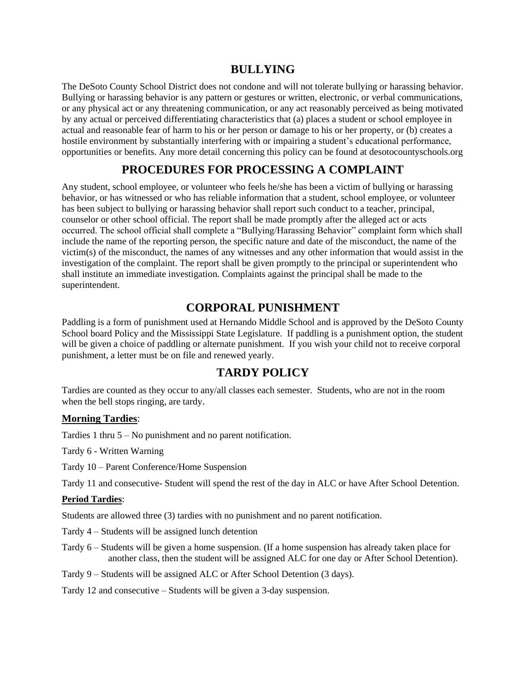## **BULLYING**

The DeSoto County School District does not condone and will not tolerate bullying or harassing behavior. Bullying or harassing behavior is any pattern or gestures or written, electronic, or verbal communications, or any physical act or any threatening communication, or any act reasonably perceived as being motivated by any actual or perceived differentiating characteristics that (a) places a student or school employee in actual and reasonable fear of harm to his or her person or damage to his or her property, or (b) creates a hostile environment by substantially interfering with or impairing a student's educational performance, opportunities or benefits. Any more detail concerning this policy can be found at desotocountyschools.org

## **PROCEDURES FOR PROCESSING A COMPLAINT**

Any student, school employee, or volunteer who feels he/she has been a victim of bullying or harassing behavior, or has witnessed or who has reliable information that a student, school employee, or volunteer has been subject to bullying or harassing behavior shall report such conduct to a teacher, principal, counselor or other school official. The report shall be made promptly after the alleged act or acts occurred. The school official shall complete a "Bullying/Harassing Behavior" complaint form which shall include the name of the reporting person, the specific nature and date of the misconduct, the name of the victim(s) of the misconduct, the names of any witnesses and any other information that would assist in the investigation of the complaint. The report shall be given promptly to the principal or superintendent who shall institute an immediate investigation. Complaints against the principal shall be made to the superintendent.

## **CORPORAL PUNISHMENT**

Paddling is a form of punishment used at Hernando Middle School and is approved by the DeSoto County School board Policy and the Mississippi State Legislature. If paddling is a punishment option, the student will be given a choice of paddling or alternate punishment. If you wish your child not to receive corporal punishment, a letter must be on file and renewed yearly.

## **TARDY POLICY**

Tardies are counted as they occur to any/all classes each semester. Students, who are not in the room when the bell stops ringing, are tardy.

#### **Morning Tardies**:

Tardies 1 thru 5 – No punishment and no parent notification.

Tardy 6 - Written Warning

Tardy 10 – Parent Conference/Home Suspension

Tardy 11 and consecutive- Student will spend the rest of the day in ALC or have After School Detention.

#### **Period Tardies**:

Students are allowed three (3) tardies with no punishment and no parent notification.

- Tardy 4 Students will be assigned lunch detention
- Tardy 6 Students will be given a home suspension. (If a home suspension has already taken place for another class, then the student will be assigned ALC for one day or After School Detention).
- Tardy 9 Students will be assigned ALC or After School Detention (3 days).

Tardy 12 and consecutive – Students will be given a 3-day suspension.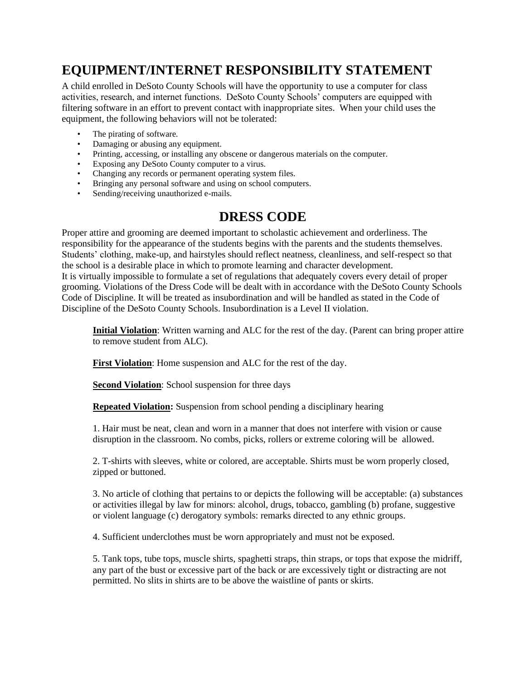# **EQUIPMENT/INTERNET RESPONSIBILITY STATEMENT**

A child enrolled in DeSoto County Schools will have the opportunity to use a computer for class activities, research, and internet functions. DeSoto County Schools' computers are equipped with filtering software in an effort to prevent contact with inappropriate sites. When your child uses the equipment, the following behaviors will not be tolerated:

- The pirating of software.
- Damaging or abusing any equipment.
- Printing, accessing, or installing any obscene or dangerous materials on the computer.
- Exposing any DeSoto County computer to a virus.
- Changing any records or permanent operating system files.
- Bringing any personal software and using on school computers.
- Sending/receiving unauthorized e-mails.

# **DRESS CODE**

Proper attire and grooming are deemed important to scholastic achievement and orderliness. The responsibility for the appearance of the students begins with the parents and the students themselves. Students' clothing, make-up, and hairstyles should reflect neatness, cleanliness, and self-respect so that the school is a desirable place in which to promote learning and character development. It is virtually impossible to formulate a set of regulations that adequately covers every detail of proper grooming. Violations of the Dress Code will be dealt with in accordance with the DeSoto County Schools Code of Discipline. It will be treated as insubordination and will be handled as stated in the Code of Discipline of the DeSoto County Schools. Insubordination is a Level II violation.

**Initial Violation**: Written warning and ALC for the rest of the day. (Parent can bring proper attire to remove student from ALC).

**First Violation**: Home suspension and ALC for the rest of the day.

**Second Violation**: School suspension for three days

**Repeated Violation:** Suspension from school pending a disciplinary hearing

1. Hair must be neat, clean and worn in a manner that does not interfere with vision or cause disruption in the classroom. No combs, picks, rollers or extreme coloring will be allowed.

2. T-shirts with sleeves, white or colored, are acceptable. Shirts must be worn properly closed, zipped or buttoned.

3. No article of clothing that pertains to or depicts the following will be acceptable: (a) substances or activities illegal by law for minors: alcohol, drugs, tobacco, gambling (b) profane, suggestive or violent language (c) derogatory symbols: remarks directed to any ethnic groups.

4. Sufficient underclothes must be worn appropriately and must not be exposed.

5. Tank tops, tube tops, muscle shirts, spaghetti straps, thin straps, or tops that expose the midriff, any part of the bust or excessive part of the back or are excessively tight or distracting are not permitted. No slits in shirts are to be above the waistline of pants or skirts.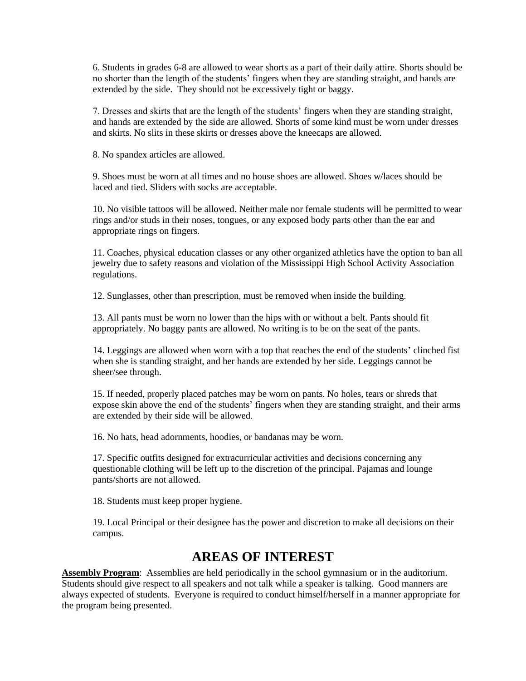6. Students in grades 6-8 are allowed to wear shorts as a part of their daily attire. Shorts should be no shorter than the length of the students' fingers when they are standing straight, and hands are extended by the side. They should not be excessively tight or baggy.

7. Dresses and skirts that are the length of the students' fingers when they are standing straight, and hands are extended by the side are allowed. Shorts of some kind must be worn under dresses and skirts. No slits in these skirts or dresses above the kneecaps are allowed.

8. No spandex articles are allowed.

9. Shoes must be worn at all times and no house shoes are allowed. Shoes w/laces should be laced and tied. Sliders with socks are acceptable.

10. No visible tattoos will be allowed. Neither male nor female students will be permitted to wear rings and/or studs in their noses, tongues, or any exposed body parts other than the ear and appropriate rings on fingers.

11. Coaches, physical education classes or any other organized athletics have the option to ban all jewelry due to safety reasons and violation of the Mississippi High School Activity Association regulations.

12. Sunglasses, other than prescription, must be removed when inside the building.

13. All pants must be worn no lower than the hips with or without a belt. Pants should fit appropriately. No baggy pants are allowed. No writing is to be on the seat of the pants.

14. Leggings are allowed when worn with a top that reaches the end of the students' clinched fist when she is standing straight, and her hands are extended by her side. Leggings cannot be sheer/see through.

15. If needed, properly placed patches may be worn on pants. No holes, tears or shreds that expose skin above the end of the students' fingers when they are standing straight, and their arms are extended by their side will be allowed.

16. No hats, head adornments, hoodies, or bandanas may be worn.

17. Specific outfits designed for extracurricular activities and decisions concerning any questionable clothing will be left up to the discretion of the principal. Pajamas and lounge pants/shorts are not allowed.

18. Students must keep proper hygiene.

19. Local Principal or their designee has the power and discretion to make all decisions on their campus.

## **AREAS OF INTEREST**

**Assembly Program**: Assemblies are held periodically in the school gymnasium or in the auditorium. Students should give respect to all speakers and not talk while a speaker is talking. Good manners are always expected of students. Everyone is required to conduct himself/herself in a manner appropriate for the program being presented.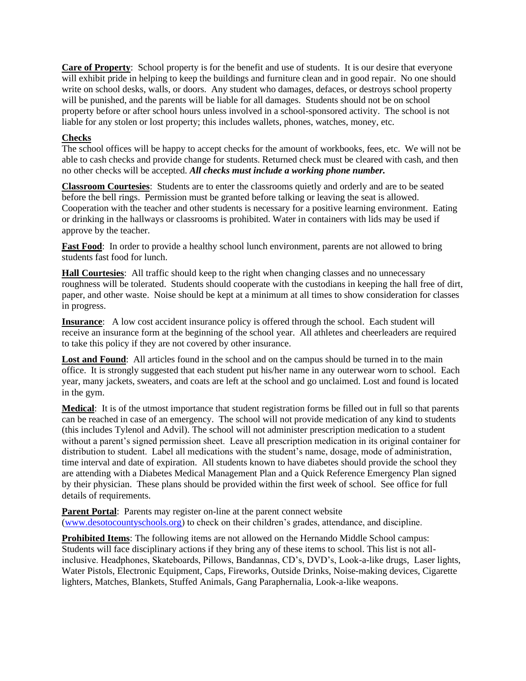**Care of Property**: School property is for the benefit and use of students. It is our desire that everyone will exhibit pride in helping to keep the buildings and furniture clean and in good repair. No one should write on school desks, walls, or doors. Any student who damages, defaces, or destroys school property will be punished, and the parents will be liable for all damages. Students should not be on school property before or after school hours unless involved in a school-sponsored activity. The school is not liable for any stolen or lost property; this includes wallets, phones, watches, money, etc.

#### **Checks**

The school offices will be happy to accept checks for the amount of workbooks, fees, etc. We will not be able to cash checks and provide change for students. Returned check must be cleared with cash, and then no other checks will be accepted. *All checks must include a working phone number.*

**Classroom Courtesies**: Students are to enter the classrooms quietly and orderly and are to be seated before the bell rings. Permission must be granted before talking or leaving the seat is allowed. Cooperation with the teacher and other students is necessary for a positive learning environment. Eating or drinking in the hallways or classrooms is prohibited. Water in containers with lids may be used if approve by the teacher.

**Fast Food**: In order to provide a healthy school lunch environment, parents are not allowed to bring students fast food for lunch.

**Hall Courtesies**: All traffic should keep to the right when changing classes and no unnecessary roughness will be tolerated. Students should cooperate with the custodians in keeping the hall free of dirt, paper, and other waste. Noise should be kept at a minimum at all times to show consideration for classes in progress.

**Insurance**: A low cost accident insurance policy is offered through the school. Each student will receive an insurance form at the beginning of the school year. All athletes and cheerleaders are required to take this policy if they are not covered by other insurance.

Lost and Found: All articles found in the school and on the campus should be turned in to the main office. It is strongly suggested that each student put his/her name in any outerwear worn to school. Each year, many jackets, sweaters, and coats are left at the school and go unclaimed. Lost and found is located in the gym.

**Medical**: It is of the utmost importance that student registration forms be filled out in full so that parents can be reached in case of an emergency. The school will not provide medication of any kind to students (this includes Tylenol and Advil). The school will not administer prescription medication to a student without a parent's signed permission sheet. Leave all prescription medication in its original container for distribution to student. Label all medications with the student's name, dosage, mode of administration, time interval and date of expiration. All students known to have diabetes should provide the school they are attending with a Diabetes Medical Management Plan and a Quick Reference Emergency Plan signed by their physician. These plans should be provided within the first week of school. See office for full details of requirements.

**Parent Portal:** Parents may register on-line at the parent connect website [\(www.desotocountyschools.org\)](http://www.desotocountyschools.org/) to check on their children's grades, attendance, and discipline.

**Prohibited Items**: The following items are not allowed on the Hernando Middle School campus: Students will face disciplinary actions if they bring any of these items to school. This list is not allinclusive. Headphones, Skateboards, Pillows, Bandannas, CD's, DVD's, Look-a-like drugs, Laser lights, Water Pistols, Electronic Equipment, Caps, Fireworks, Outside Drinks, Noise-making devices, Cigarette lighters, Matches, Blankets, Stuffed Animals, Gang Paraphernalia, Look-a-like weapons.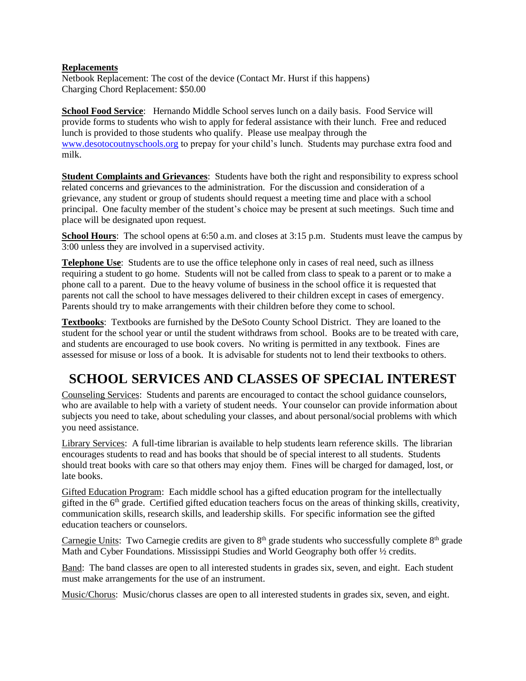#### **Replacements**

Netbook Replacement: The cost of the device (Contact Mr. Hurst if this happens) Charging Chord Replacement: \$50.00

**School Food Service**: Hernando Middle School serves lunch on a daily basis. Food Service will provide forms to students who wish to apply for federal assistance with their lunch. Free and reduced lunch is provided to those students who qualify. Please use mealpay through the [www.desotocoutnyschools.org](http://www.desotocoutnyschools.org/) to prepay for your child's lunch. Students may purchase extra food and milk.

**Student Complaints and Grievances**: Students have both the right and responsibility to express school related concerns and grievances to the administration. For the discussion and consideration of a grievance, any student or group of students should request a meeting time and place with a school principal. One faculty member of the student's choice may be present at such meetings. Such time and place will be designated upon request.

**School Hours**: The school opens at 6:50 a.m. and closes at 3:15 p.m. Students must leave the campus by 3:00 unless they are involved in a supervised activity.

**Telephone Use**: Students are to use the office telephone only in cases of real need, such as illness requiring a student to go home. Students will not be called from class to speak to a parent or to make a phone call to a parent. Due to the heavy volume of business in the school office it is requested that parents not call the school to have messages delivered to their children except in cases of emergency. Parents should try to make arrangements with their children before they come to school.

**Textbooks**: Textbooks are furnished by the DeSoto County School District. They are loaned to the student for the school year or until the student withdraws from school. Books are to be treated with care, and students are encouraged to use book covers. No writing is permitted in any textbook. Fines are assessed for misuse or loss of a book. It is advisable for students not to lend their textbooks to others.

# **SCHOOL SERVICES AND CLASSES OF SPECIAL INTEREST**

Counseling Services: Students and parents are encouraged to contact the school guidance counselors, who are available to help with a variety of student needs. Your counselor can provide information about subjects you need to take, about scheduling your classes, and about personal/social problems with which you need assistance.

Library Services: A full-time librarian is available to help students learn reference skills. The librarian encourages students to read and has books that should be of special interest to all students. Students should treat books with care so that others may enjoy them. Fines will be charged for damaged, lost, or late books.

Gifted Education Program: Each middle school has a gifted education program for the intellectually gifted in the 6th grade. Certified gifted education teachers focus on the areas of thinking skills, creativity, communication skills, research skills, and leadership skills. For specific information see the gifted education teachers or counselors.

Carnegie Units: Two Carnegie credits are given to  $8<sup>th</sup>$  grade students who successfully complete  $8<sup>th</sup>$  grade Math and Cyber Foundations. Mississippi Studies and World Geography both offer ½ credits.

Band: The band classes are open to all interested students in grades six, seven, and eight. Each student must make arrangements for the use of an instrument.

Music/Chorus: Music/chorus classes are open to all interested students in grades six, seven, and eight.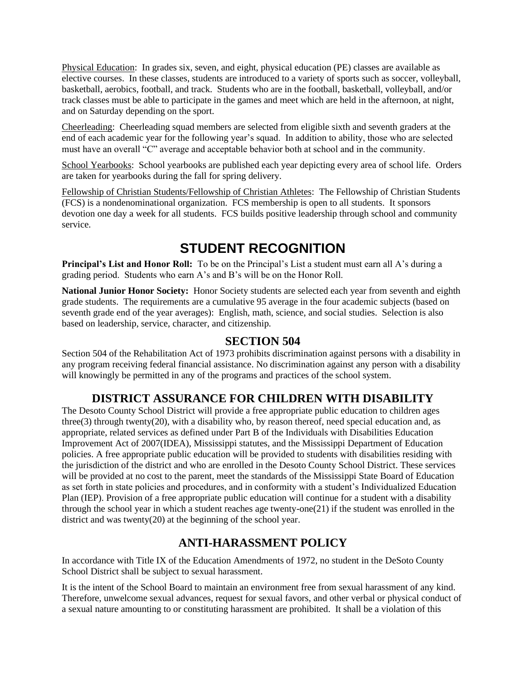Physical Education: In grades six, seven, and eight, physical education (PE) classes are available as elective courses. In these classes, students are introduced to a variety of sports such as soccer, volleyball, basketball, aerobics, football, and track. Students who are in the football, basketball, volleyball, and/or track classes must be able to participate in the games and meet which are held in the afternoon, at night, and on Saturday depending on the sport.

Cheerleading: Cheerleading squad members are selected from eligible sixth and seventh graders at the end of each academic year for the following year's squad. In addition to ability, those who are selected must have an overall "C" average and acceptable behavior both at school and in the community.

School Yearbooks: School yearbooks are published each year depicting every area of school life. Orders are taken for yearbooks during the fall for spring delivery.

Fellowship of Christian Students/Fellowship of Christian Athletes: The Fellowship of Christian Students (FCS) is a nondenominational organization. FCS membership is open to all students. It sponsors devotion one day a week for all students. FCS builds positive leadership through school and community service.

# **STUDENT RECOGNITION**

**Principal's List and Honor Roll:** To be on the Principal's List a student must earn all A's during a grading period. Students who earn A's and B's will be on the Honor Roll.

**National Junior Honor Society:** Honor Society students are selected each year from seventh and eighth grade students. The requirements are a cumulative 95 average in the four academic subjects (based on seventh grade end of the year averages): English, math, science, and social studies. Selection is also based on leadership, service, character, and citizenship.

### **SECTION 504**

Section 504 of the Rehabilitation Act of 1973 prohibits discrimination against persons with a disability in any program receiving federal financial assistance. No discrimination against any person with a disability will knowingly be permitted in any of the programs and practices of the school system.

## **DISTRICT ASSURANCE FOR CHILDREN WITH DISABILITY**

The Desoto County School District will provide a free appropriate public education to children ages three(3) through twenty(20), with a disability who, by reason thereof, need special education and, as appropriate, related services as defined under Part B of the Individuals with Disabilities Education Improvement Act of 2007(IDEA), Mississippi statutes, and the Mississippi Department of Education policies. A free appropriate public education will be provided to students with disabilities residing with the jurisdiction of the district and who are enrolled in the Desoto County School District. These services will be provided at no cost to the parent, meet the standards of the Mississippi State Board of Education as set forth in state policies and procedures, and in conformity with a student's Individualized Education Plan (IEP). Provision of a free appropriate public education will continue for a student with a disability through the school year in which a student reaches age twenty-one(21) if the student was enrolled in the district and was twenty(20) at the beginning of the school year.

## **ANTI-HARASSMENT POLICY**

In accordance with Title IX of the Education Amendments of 1972, no student in the DeSoto County School District shall be subject to sexual harassment.

It is the intent of the School Board to maintain an environment free from sexual harassment of any kind. Therefore, unwelcome sexual advances, request for sexual favors, and other verbal or physical conduct of a sexual nature amounting to or constituting harassment are prohibited. It shall be a violation of this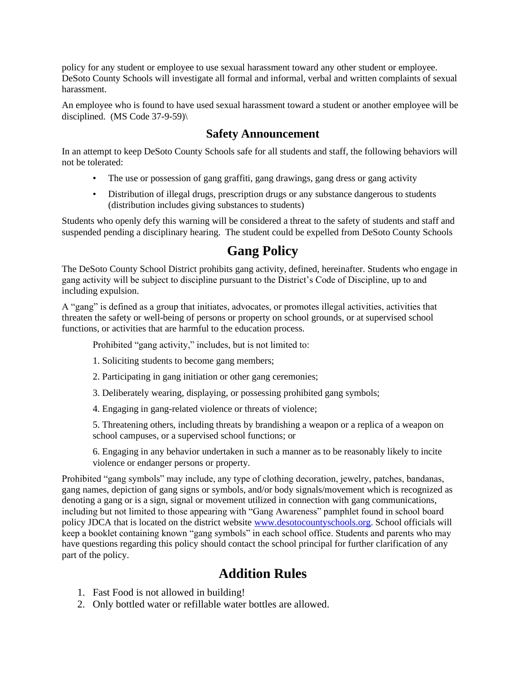policy for any student or employee to use sexual harassment toward any other student or employee. DeSoto County Schools will investigate all formal and informal, verbal and written complaints of sexual harassment.

An employee who is found to have used sexual harassment toward a student or another employee will be disciplined. (MS Code 37-9-59)\

## **Safety Announcement**

In an attempt to keep DeSoto County Schools safe for all students and staff, the following behaviors will not be tolerated:

- The use or possession of gang graffiti, gang drawings, gang dress or gang activity
- Distribution of illegal drugs, prescription drugs or any substance dangerous to students (distribution includes giving substances to students)

Students who openly defy this warning will be considered a threat to the safety of students and staff and suspended pending a disciplinary hearing. The student could be expelled from DeSoto County Schools

## **Gang Policy**

The DeSoto County School District prohibits gang activity, defined, hereinafter. Students who engage in gang activity will be subject to discipline pursuant to the District's Code of Discipline, up to and including expulsion.

A "gang" is defined as a group that initiates, advocates, or promotes illegal activities, activities that threaten the safety or well-being of persons or property on school grounds, or at supervised school functions, or activities that are harmful to the education process.

Prohibited "gang activity," includes, but is not limited to:

- 1. Soliciting students to become gang members;
- 2. Participating in gang initiation or other gang ceremonies;
- 3. Deliberately wearing, displaying, or possessing prohibited gang symbols;
- 4. Engaging in gang-related violence or threats of violence;

5. Threatening others, including threats by brandishing a weapon or a replica of a weapon on school campuses, or a supervised school functions; or

6. Engaging in any behavior undertaken in such a manner as to be reasonably likely to incite violence or endanger persons or property.

Prohibited "gang symbols" may include, any type of clothing decoration, jewelry, patches, bandanas, gang names, depiction of gang signs or symbols, and/or body signals/movement which is recognized as denoting a gang or is a sign, signal or movement utilized in connection with gang communications, including but not limited to those appearing with "Gang Awareness" pamphlet found in school board policy JDCA that is located on the district website [www.desotocountyschools.org.](http://www.desotocountyschools.org/) School officials will keep a booklet containing known "gang symbols" in each school office. Students and parents who may have questions regarding this policy should contact the school principal for further clarification of any part of the policy.

## **Addition Rules**

- 1. Fast Food is not allowed in building!
- 2. Only bottled water or refillable water bottles are allowed.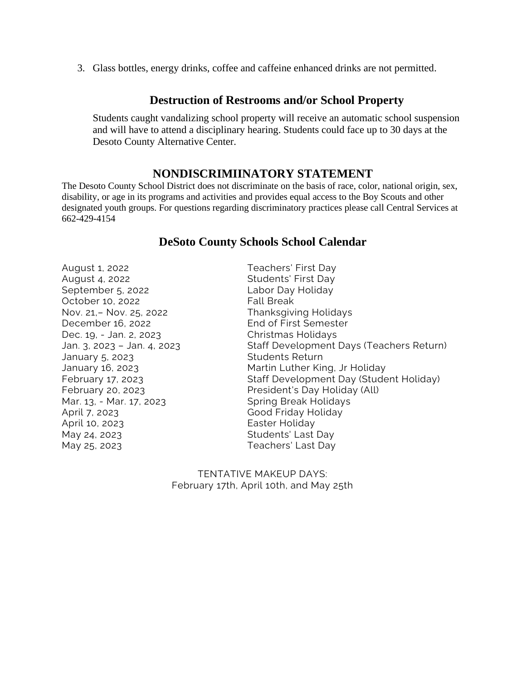3. Glass bottles, energy drinks, coffee and caffeine enhanced drinks are not permitted.

#### **Destruction of Restrooms and/or School Property**

Students caught vandalizing school property will receive an automatic school suspension and will have to attend a disciplinary hearing. Students could face up to 30 days at the Desoto County Alternative Center.

### **NONDISCRIMIINATORY STATEMENT**

The Desoto County School District does not discriminate on the basis of race, color, national origin, sex, disability, or age in its programs and activities and provides equal access to the Boy Scouts and other designated youth groups. For questions regarding discriminatory practices please call Central Services at 662-429-4154

#### **DeSoto County Schools School Calendar**

August 1, 2022 Teachers' First Day August 4, 2022 Students' First Day September 5, 2022 Labor Day Holiday October 10, 2022 Fall Break Nov. 21,– Nov. 25, 2022 Thanksgiving Holidays December 16, 2022 End of First Semester Dec. 19, - Jan. 2, 2023 Christmas Holidays January 5, 2023 **Students Return** Mar. 13, - Mar. 17, 2023 Spring Break Holidays April 7, 2023 Good Friday Holiday April 10, 2023 **Easter Holiday** May 24, 2023 **Students' Last Day** May 25, 2023 Teachers' Last Day

Jan. 3, 2023 – Jan. 4, 2023 Staff Development Days (Teachers Return) January 16, 2023 Martin Luther King, Jr Holiday February 17, 2023 Staff Development Day (Student Holiday) February 20, 2023 President's Day Holiday (All)

> TENTATIVE MAKEUP DAYS: February 17th, April 10th, and May 25th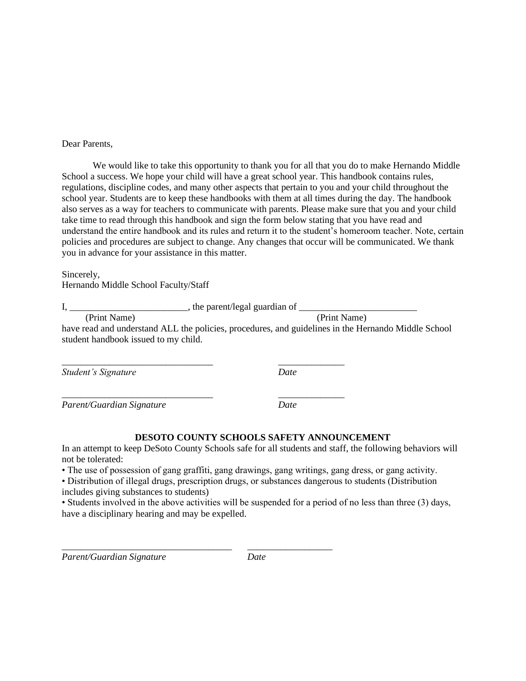#### Dear Parents,

We would like to take this opportunity to thank you for all that you do to make Hernando Middle School a success. We hope your child will have a great school year. This handbook contains rules, regulations, discipline codes, and many other aspects that pertain to you and your child throughout the school year. Students are to keep these handbooks with them at all times during the day. The handbook also serves as a way for teachers to communicate with parents. Please make sure that you and your child take time to read through this handbook and sign the form below stating that you have read and understand the entire handbook and its rules and return it to the student's homeroom teacher. Note, certain policies and procedures are subject to change. Any changes that occur will be communicated. We thank you in advance for your assistance in this matter.

Sincerely,

Hernando Middle School Faculty/Staff

I, \_\_\_\_\_\_\_\_\_\_\_\_\_\_\_\_\_\_\_\_\_\_\_\_\_, the parent/legal guardian of \_\_\_\_\_\_\_\_\_\_\_\_\_\_\_\_\_\_\_\_\_\_\_\_\_ (Print Name) (Print Name) have read and understand ALL the policies, procedures, and guidelines in the Hernando Middle School student handbook issued to my child.

*Student's Signature Date*

*Parent/Guardian Signature Date*

#### **DESOTO COUNTY SCHOOLS SAFETY ANNOUNCEMENT**

In an attempt to keep DeSoto County Schools safe for all students and staff, the following behaviors will not be tolerated:

• The use of possession of gang graffiti, gang drawings, gang writings, gang dress, or gang activity.

• Distribution of illegal drugs, prescription drugs, or substances dangerous to students (Distribution includes giving substances to students)

• Students involved in the above activities will be suspended for a period of no less than three (3) days, have a disciplinary hearing and may be expelled.

*Parent/Guardian Signature Date* 

\_\_\_\_\_\_\_\_\_\_\_\_\_\_\_\_\_\_\_\_\_\_\_\_\_\_\_\_\_\_\_\_\_\_\_\_ \_\_\_\_\_\_\_\_\_\_\_\_\_\_\_\_\_\_

\_\_\_\_\_\_\_\_\_\_\_\_\_\_\_\_\_\_\_\_\_\_\_\_\_\_\_\_\_\_\_\_ \_\_\_\_\_\_\_\_\_\_\_\_\_\_

\_\_\_\_\_\_\_\_\_\_\_\_\_\_\_\_\_\_\_\_\_\_\_\_\_\_\_\_\_\_\_\_ \_\_\_\_\_\_\_\_\_\_\_\_\_\_